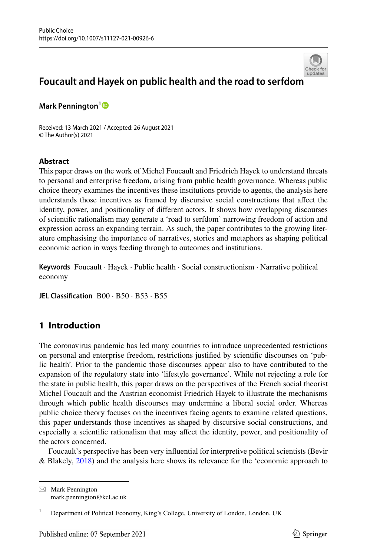

# **Foucault and Hayek on public health and the road to serfdo[m](http://crossmark.crossref.org/dialog/?doi=10.1007/s11127-021-00926-6&domain=pdf)**

**Mark Pennington[1](http://orcid.org/0000-0001-6081-838X)**

Received: 13 March 2021 / Accepted: 26 August 2021 © The Author(s) 2021

### **Abstract**

This paper draws on the work of Michel Foucault and Friedrich Hayek to understand threats to personal and enterprise freedom, arising from public health governance. Whereas public choice theory examines the incentives these institutions provide to agents, the analysis here understands those incentives as framed by discursive social constructions that affect the identity, power, and positionality of different actors. It shows how overlapping discourses of scientific rationalism may generate a 'road to serfdom' narrowing freedom of action and expression across an expanding terrain. As such, the paper contributes to the growing literature emphasising the importance of narratives, stories and metaphors as shaping political economic action in ways feeding through to outcomes and institutions.

**Keywords** Foucault · Hayek · Public health · Social constructionism · Narrative political economy

**JEL Classification** B00 · B50 · B53 · B55

## **1 Introduction**

The coronavirus pandemic has led many countries to introduce unprecedented restrictions on personal and enterprise freedom, restrictions justified by scientific discourses on 'public health'. Prior to the pandemic those discourses appear also to have contributed to the expansion of the regulatory state into 'lifestyle governance'. While not rejecting a role for the state in public health, this paper draws on the perspectives of the French social theorist Michel Foucault and the Austrian economist Friedrich Hayek to illustrate the mechanisms through which public health discourses may undermine a liberal social order. Whereas public choice theory focuses on the incentives facing agents to examine related questions, this paper understands those incentives as shaped by discursive social constructions, and especially a scientific rationalism that may affect the identity, power, and positionality of the actors concerned.

Foucault's perspective has been very influential for interpretive political scientists (Bevir & Blakely, [2018](#page-16-0)) and the analysis here shows its relevance for the 'economic approach to

 $\boxtimes$  Mark Pennington mark.pennington@kcl.ac.uk

<sup>1</sup> Department of Political Economy, King's College, University of London, London, UK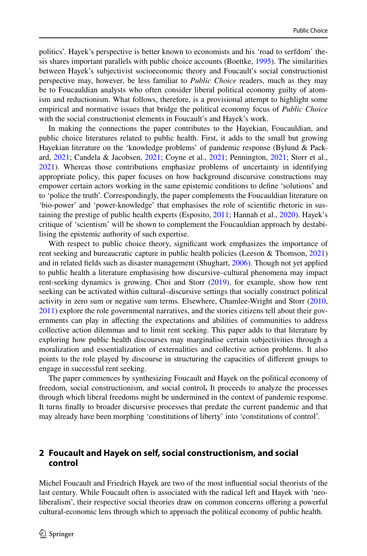politics'. Hayek's perspective is better known to economists and his 'road to serfdom' thesis shares important parallels with public choice accounts (Boettke, [1995\)](#page-16-1). The similarities between Hayek's subjectivist socioeconomic theory and Foucault's social constructionist perspective may, however, be less familiar to *Public Choice* readers, much as they may be to Foucauldian analysts who often consider liberal political economy guilty of atomism and reductionism. What follows, therefore, is a provisional attempt to highlight some empirical and normative issues that bridge the political economy focus of *Public Choice* with the social constructionist elements in Foucault's and Hayek's work.

In making the connections the paper contributes to the Hayekian, Foucauldian, and public choice literatures related to public health. First, it adds to the small but growing Hayekian literature on the 'knowledge problems' of pandemic response (Bylund & Packard, [2021](#page-16-2); Candela & Jacobsen, [2021;](#page-16-3) Coyne et al., [2021;](#page-17-0) Pennington, [2021](#page-17-1); Storr et al., [2021\)](#page-18-0). Whereas those contributions emphasize problems of uncertainty in identifying appropriate policy, this paper focuses on how background discursive constructions may empower certain actors working in the same epistemic conditions to define 'solutions' and to 'police the truth'. Correspondingly, the paper complements the Foucauldian literature on 'bio-power' and 'power-knowledge' that emphasises the role of scientific rhetoric in sustaining the prestige of public health experts (Esposito, [2011](#page-17-2); Hannah et al., [2020\)](#page-17-3). Hayek's critique of 'scientism' will be shown to complement the Foucauldian approach by destabilising the epistemic authority of such expertise.

With respect to public choice theory, significant work emphasizes the importance of rent seeking and bureaucratic capture in public health policies (Leeson & Thomson, [2021](#page-17-4)) and in related fields such as disaster management (Shughart, [2006\)](#page-18-1). Though not yet applied to public health a literature emphasising how discursive–cultural phenomena may impact rent-seeking dynamics is growing. Choi and Storr ([2019\)](#page-17-5), for example, show how rent seeking can be activated within cultural–discursive settings that socially construct political activity in zero sum or negative sum terms. Elsewhere, Chamlee-Wright and Storr [\(2010](#page-16-4), [2011\)](#page-17-6) explore the role governmental narratives, and the stories citizens tell about their governments can play in affecting the expectations and abilities of communities to address collective action dilemmas and to limit rent seeking. This paper adds to that literature by exploring how public health discourses may marginalise certain subjectivities through a moralization and essentialization of externalities and collective action problems. It also points to the role played by discourse in structuring the capacities of different groups to engage in successful rent seeking.

The paper commences by synthesizing Foucault and Hayek on the political economy of freedom, social constructionism, and social control**.** It proceeds to analyze the processes through which liberal freedoms might be undermined in the context of pandemic response. It turns finally to broader discursive processes that predate the current pandemic and that may already have been morphing 'constitutions of liberty' into 'constitutions of control'.

## **2 Foucault and Hayek on self, social constructionism, and social control**

Michel Foucault and Friedrich Hayek are two of the most influential social theorists of the last century. While Foucault often is associated with the radical left and Hayek with 'neoliberalism', their respective social theories draw on common concerns offering a powerful cultural-economic lens through which to approach the political economy of public health.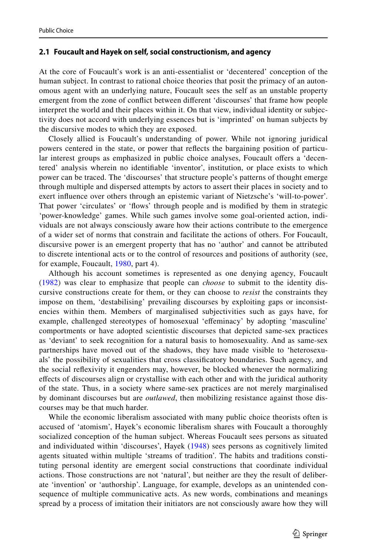#### **2.1 Foucault and Hayek on self, social constructionism, and agency**

At the core of Foucault's work is an anti-essentialist or 'decentered' conception of the human subject. In contrast to rational choice theories that posit the primacy of an autonomous agent with an underlying nature, Foucault sees the self as an unstable property emergent from the zone of conflict between different 'discourses' that frame how people interpret the world and their places within it. On that view, individual identity or subjectivity does not accord with underlying essences but is 'imprinted' on human subjects by the discursive modes to which they are exposed.

Closely allied is Foucault's understanding of power. While not ignoring juridical powers centered in the state, or power that reflects the bargaining position of particular interest groups as emphasized in public choice analyses, Foucault offers a 'decentered' analysis wherein no identifiable 'inventor', institution, or place exists to which power can be traced. The 'discourses' that structure people's patterns of thought emerge through multiple and dispersed attempts by actors to assert their places in society and to exert influence over others through an epistemic variant of Nietzsche's 'will-to-power'. That power 'circulates' or 'flows' through people and is modified by them in strategic 'power-knowledge' games. While such games involve some goal-oriented action, individuals are not always consciously aware how their actions contribute to the emergence of a wider set of norms that constrain and facilitate the actions of others. For Foucault, discursive power is an emergent property that has no 'author' and cannot be attributed to discrete intentional acts or to the control of resources and positions of authority (see, for example, Foucault, [1980](#page-17-7), part 4).

Although his account sometimes is represented as one denying agency, Foucault ([1982\)](#page-17-8) was clear to emphasize that people can *choose* to submit to the identity discursive constructions create for them, or they can choose to *resist* the constraints they impose on them, 'destabilising' prevailing discourses by exploiting gaps or inconsistencies within them. Members of marginalised subjectivities such as gays have, for example, challenged stereotypes of homosexual 'effeminacy' by adopting 'masculine' comportments or have adopted scientistic discourses that depicted same-sex practices as 'deviant' to seek recognition for a natural basis to homosexuality. And as same-sex partnerships have moved out of the shadows, they have made visible to 'heterosexuals' the possibility of sexualities that cross classificatory boundaries. Such agency, and the social reflexivity it engenders may, however, be blocked whenever the normalizing effects of discourses align or crystallise with each other and with the juridical authority of the state. Thus, in a society where same-sex practices are not merely marginalised by dominant discourses but are *outlawed*, then mobilizing resistance against those discourses may be that much harder.

While the economic liberalism associated with many public choice theorists often is accused of 'atomism', Hayek's economic liberalism shares with Foucault a thoroughly socialized conception of the human subject. Whereas Foucault sees persons as situated and individuated within 'discourses', Hayek ([1948\)](#page-17-9) sees persons as cognitively limited agents situated within multiple 'streams of tradition'. The habits and traditions constituting personal identity are emergent social constructions that coordinate individual actions. Those constructions are not 'natural', but neither are they the result of deliberate 'invention' or 'authorship'. Language, for example, develops as an unintended consequence of multiple communicative acts. As new words, combinations and meanings spread by a process of imitation their initiators are not consciously aware how they will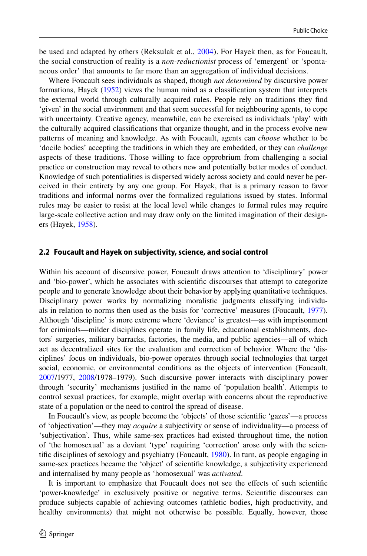be used and adapted by others (Reksulak et al., [2004\)](#page-18-2). For Hayek then, as for Foucault, the social construction of reality is a *non-reductionist* process of 'emergent' or 'spontaneous order' that amounts to far more than an aggregation of individual decisions.

Where Foucault sees individuals as shaped, though *not determined* by discursive power formations, Hayek ([1952\)](#page-17-10) views the human mind as a classification system that interprets the external world through culturally acquired rules. People rely on traditions they find 'given' in the social environment and that seem successful for neighbouring agents, to cope with uncertainty. Creative agency, meanwhile, can be exercised as individuals 'play' with the culturally acquired classifications that organize thought, and in the process evolve new patterns of meaning and knowledge. As with Foucault, agents can *choose* whether to be 'docile bodies' accepting the traditions in which they are embedded, or they can *challenge* aspects of these traditions. Those willing to face opprobrium from challenging a social practice or construction may reveal to others new and potentially better modes of conduct. Knowledge of such potentialities is dispersed widely across society and could never be perceived in their entirety by any one group. For Hayek, that is a primary reason to favor traditions and informal norms over the formalized regulations issued by states. Informal rules may be easier to resist at the local level while changes to formal rules may require large-scale collective action and may draw only on the limited imagination of their designers (Hayek, [1958\)](#page-17-11).

#### **2.2 Foucault and Hayek on subjectivity, science, and social control**

Within his account of discursive power, Foucault draws attention to 'disciplinary' power and 'bio-power', which he associates with scientific discourses that attempt to categorize people and to generate knowledge about their behavior by applying quantitative techniques. Disciplinary power works by normalizing moralistic judgments classifying individuals in relation to norms then used as the basis for 'corrective' measures (Foucault, [1977](#page-17-12)). Although 'discipline' is more extreme where 'deviance' is greatest—as with imprisonment for criminals—milder disciplines operate in family life, educational establishments, doctors' surgeries, military barracks, factories, the media, and public agencies—all of which act as decentralized sites for the evaluation and correction of behavior. Where the 'disciplines' focus on individuals, bio-power operates through social technologies that target social, economic, or environmental conditions as the objects of intervention (Foucault, [2007/](#page-17-13)1977, [2008](#page-17-14)/1978–1979). Such discursive power interacts with disciplinary power through 'security' mechanisms justified in the name of 'population health'. Attempts to control sexual practices, for example, might overlap with concerns about the reproductive state of a population or the need to control the spread of disease.

In Foucault's view, as people become the 'objects' of those scientific 'gazes'—a process of 'objectivation'—they may *acquire* a subjectivity or sense of individuality—a process of 'subjectivation'. Thus, while same-sex practices had existed throughout time, the notion of 'the homosexual' as a deviant 'type' requiring 'correction' arose only with the scientific disciplines of sexology and psychiatry (Foucault, [1980\)](#page-17-7). In turn, as people engaging in same-sex practices became the 'object' of scientific knowledge, a subjectivity experienced and internalised by many people as 'homosexual' was *activated*.

It is important to emphasize that Foucault does not see the effects of such scientific 'power-knowledge' in exclusively positive or negative terms. Scientific discourses can produce subjects capable of achieving outcomes (athletic bodies, high productivity, and healthy environments) that might not otherwise be possible. Equally, however, those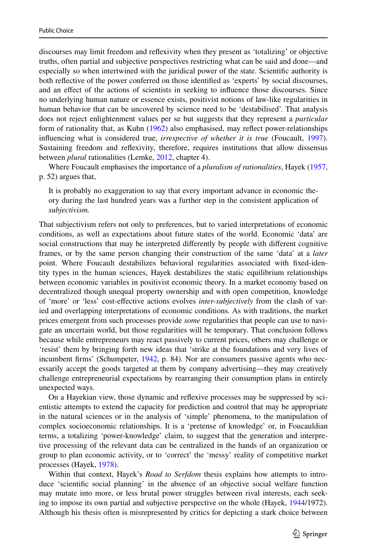discourses may limit freedom and reflexivity when they present as 'totalizing' or objective truths, often partial and subjective perspectives restricting what can be said and done—and especially so when intertwined with the juridical power of the state. Scientific authority is both reflective of the power conferred on those identified as 'experts' by social discourses, and an effect of the actions of scientists in seeking to influence those discourses. Since no underlying human nature or essence exists, positivist notions of law-like regularities in human behavior that can be uncovered by science need to be 'destabilised'. That analysis does not reject enlightenment values per se but suggests that they represent a *particular* form of rationality that, as Kuhn ([1962\)](#page-17-15) also emphasised, may reflect power-relationships influencing what is considered true, *irrespective of whether it is true* (Foucault, [1997](#page-17-16)). Sustaining freedom and reflexivity, therefore, requires institutions that allow dissensus between *plural* rationalities (Lemke, [2012](#page-17-17), chapter 4).

Where Foucault emphasises the importance of a *pluralism of rationalities*, Hayek [\(1957](#page-17-18), p. 52) argues that,

It is probably no exaggeration to say that every important advance in economic theory during the last hundred years was a further step in the consistent application of *subjectivism.*

That subjectivism refers not only to preferences, but to varied interpretations of economic conditions, as well as expectations about future states of the world. Economic 'data' are social constructions that may be interpreted differently by people with different cognitive frames, or by the same person changing their construction of the same 'data' at a *later* point. Where Foucault destabilizes behavioral regularities associated with fixed-identity types in the human sciences, Hayek destabilizes the static equilibrium relationships between economic variables in positivist economic theory. In a market economy based on decentralized though unequal property ownership and with open competition, knowledge of 'more' or 'less' cost-effective actions evolves *inter-subjectively* from the clash of varied and overlapping interpretations of economic conditions. As with traditions, the market prices emergent from such processes provide *some* regularities that people can use to navigate an uncertain world, but those regularities will be temporary. That conclusion follows because while entrepreneurs may react passively to current prices, others may challenge or 'resist' them by bringing forth new ideas that 'strike at the foundations and very lives of incumbent firms' (Schumpeter, [1942](#page-18-3), p. 84). Nor are consumers passive agents who necessarily accept the goods targeted at them by company advertising—they may creatively challenge entrepreneurial expectations by rearranging their consumption plans in entirely unexpected ways.

On a Hayekian view, those dynamic and reflexive processes may be suppressed by scientistic attempts to extend the capacity for prediction and control that may be appropriate in the natural sciences or in the analysis of 'simple' phenomena, to the manipulation of complex socioeconomic relationships. It is a 'pretense of knowledge' or, in Foucauldian terms, a totalizing 'power-knowledge' claim, to suggest that the generation and interpretive processing of the relevant data can be centralized in the hands of an organization or group to plan economic activity, or to 'correct' the 'messy' reality of competitive market processes (Hayek, [1978\)](#page-17-19).

Within that context, Hayek's *Road to Serfdom* thesis explains how attempts to introduce 'scientific social planning' in the absence of an objective social welfare function may mutate into more, or less brutal power struggles between rival interests, each seeking to impose its own partial and subjective perspective on the whole (Hayek, [1944](#page-17-20)/1972). Although his thesis often is misrepresented by critics for depicting a stark choice between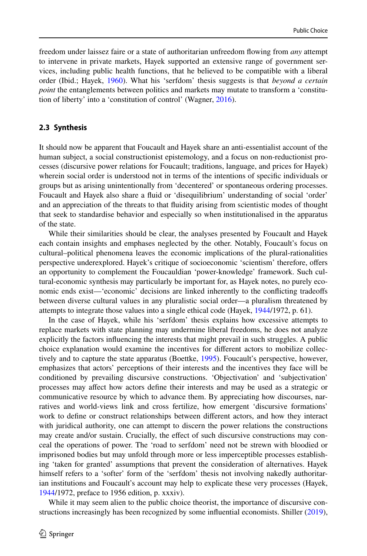freedom under laissez faire or a state of authoritarian unfreedom flowing from *any* attempt to intervene in private markets, Hayek supported an extensive range of government services, including public health functions, that he believed to be compatible with a liberal order (Ibid.; Hayek, [1960](#page-17-21)). What his 'serfdom' thesis suggests is that *beyond a certain point* the entanglements between politics and markets may mutate to transform a 'constitution of liberty' into a 'constitution of control' (Wagner, [2016\)](#page-18-4).

#### **2.3 Synthesis**

It should now be apparent that Foucault and Hayek share an anti-essentialist account of the human subject, a social constructionist epistemology, and a focus on non-reductionist processes (discursive power relations for Foucault; traditions, language, and prices for Hayek) wherein social order is understood not in terms of the intentions of specific individuals or groups but as arising unintentionally from 'decentered' or spontaneous ordering processes. Foucault and Hayek also share a fluid or 'disequilibrium' understanding of social 'order' and an appreciation of the threats to that fluidity arising from scientistic modes of thought that seek to standardise behavior and especially so when institutionalised in the apparatus of the state.

While their similarities should be clear, the analyses presented by Foucault and Hayek each contain insights and emphases neglected by the other. Notably, Foucault's focus on cultural–political phenomena leaves the economic implications of the plural-rationalities perspective underexplored. Hayek's critique of socioeconomic 'scientism' therefore, offers an opportunity to complement the Foucauldian 'power-knowledge' framework. Such cultural-economic synthesis may particularly be important for, as Hayek notes, no purely economic ends exist—'economic' decisions are linked inherently to the conflicting tradeoffs between diverse cultural values in any pluralistic social order—a pluralism threatened by attempts to integrate those values into a single ethical code (Hayek, [1944/](#page-17-20)1972, p. 61).

In the case of Hayek, while his 'serfdom' thesis explains how excessive attempts to replace markets with state planning may undermine liberal freedoms, he does not analyze explicitly the factors influencing the interests that might prevail in such struggles. A public choice explanation would examine the incentives for different actors to mobilize collectively and to capture the state apparatus (Boettke, [1995\)](#page-16-1). Foucault's perspective, however, emphasizes that actors' perceptions of their interests and the incentives they face will be conditioned by prevailing discursive constructions. 'Objectivation' and 'subjectivation' processes may affect how actors define their interests and may be used as a strategic or communicative resource by which to advance them. By appreciating how discourses, narratives and world-views link and cross fertilize, how emergent 'discursive formations' work to define or construct relationships between different actors, and how they interact with juridical authority, one can attempt to discern the power relations the constructions may create and/or sustain. Crucially, the effect of such discursive constructions may conceal the operations of power. The 'road to serfdom' need not be strewn with bloodied or imprisoned bodies but may unfold through more or less imperceptible processes establishing 'taken for granted' assumptions that prevent the consideration of alternatives. Hayek himself refers to a 'softer' form of the 'serfdom' thesis not involving nakedly authoritarian institutions and Foucault's account may help to explicate these very processes (Hayek, [1944/](#page-17-20)1972, preface to 1956 edition, p. xxxiv).

While it may seem alien to the public choice theorist, the importance of discursive constructions increasingly has been recognized by some influential economists. Shiller [\(2019](#page-18-5)),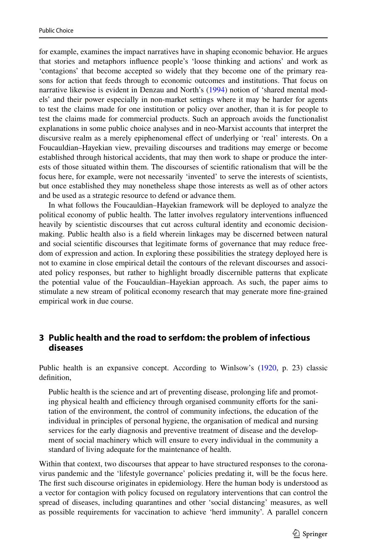for example, examines the impact narratives have in shaping economic behavior. He argues that stories and metaphors influence people's 'loose thinking and actions' and work as 'contagions' that become accepted so widely that they become one of the primary reasons for action that feeds through to economic outcomes and institutions. That focus on narrative likewise is evident in Denzau and North's [\(1994](#page-17-22)) notion of 'shared mental models' and their power especially in non-market settings where it may be harder for agents to test the claims made for one institution or policy over another, than it is for people to test the claims made for commercial products. Such an approach avoids the functionalist explanations in some public choice analyses and in neo-Marxist accounts that interpret the discursive realm as a merely epiphenomenal effect of underlying or 'real' interests. On a Foucauldian–Hayekian view, prevailing discourses and traditions may emerge or become established through historical accidents, that may then work to shape or produce the interests of those situated within them. The discourses of scientific rationalism that will be the focus here, for example, were not necessarily 'invented' to serve the interests of scientists, but once established they may nonetheless shape those interests as well as of other actors and be used as a strategic resource to defend or advance them.

In what follows the Foucauldian–Hayekian framework will be deployed to analyze the political economy of public health. The latter involves regulatory interventions influenced heavily by scientistic discourses that cut across cultural identity and economic decisionmaking. Public health also is a field wherein linkages may be discerned between natural and social scientific discourses that legitimate forms of governance that may reduce freedom of expression and action. In exploring these possibilities the strategy deployed here is not to examine in close empirical detail the contours of the relevant discourses and associated policy responses, but rather to highlight broadly discernible patterns that explicate the potential value of the Foucauldian–Hayekian approach. As such, the paper aims to stimulate a new stream of political economy research that may generate more fine-grained empirical work in due course.

## **3 Public health and the road to serfdom: the problem of infectious diseases**

Public health is an expansive concept. According to Winlsow's [\(1920](#page-18-6), p. 23) classic definition,

Public health is the science and art of preventing disease, prolonging life and promoting physical health and efficiency through organised community efforts for the sanitation of the environment, the control of community infections, the education of the individual in principles of personal hygiene, the organisation of medical and nursing services for the early diagnosis and preventive treatment of disease and the development of social machinery which will ensure to every individual in the community a standard of living adequate for the maintenance of health.

Within that context, two discourses that appear to have structured responses to the coronavirus pandemic and the 'lifestyle governance' policies predating it, will be the focus here. The first such discourse originates in epidemiology. Here the human body is understood as a vector for contagion with policy focused on regulatory interventions that can control the spread of diseases, including quarantines and other 'social distancing' measures, as well as possible requirements for vaccination to achieve 'herd immunity'. A parallel concern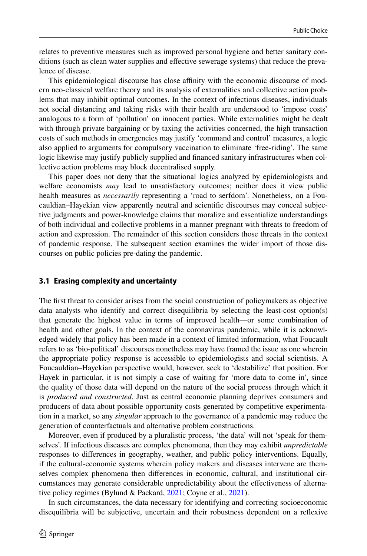relates to preventive measures such as improved personal hygiene and better sanitary conditions (such as clean water supplies and effective sewerage systems) that reduce the prevalence of disease.

This epidemiological discourse has close affinity with the economic discourse of modern neo-classical welfare theory and its analysis of externalities and collective action problems that may inhibit optimal outcomes. In the context of infectious diseases, individuals not social distancing and taking risks with their health are understood to 'impose costs' analogous to a form of 'pollution' on innocent parties. While externalities might be dealt with through private bargaining or by taxing the activities concerned, the high transaction costs of such methods in emergencies may justify 'command and control' measures, a logic also applied to arguments for compulsory vaccination to eliminate 'free-riding'. The same logic likewise may justify publicly supplied and financed sanitary infrastructures when collective action problems may block decentralised supply.

This paper does not deny that the situational logics analyzed by epidemiologists and welfare economists *may* lead to unsatisfactory outcomes; neither does it view public health measures as *necessarily* representing a 'road to serfdom'. Nonetheless, on a Foucauldian–Hayekian view apparently neutral and scientific discourses may conceal subjective judgments and power-knowledge claims that moralize and essentialize understandings of both individual and collective problems in a manner pregnant with threats to freedom of action and expression. The remainder of this section considers those threats in the context of pandemic response. The subsequent section examines the wider import of those discourses on public policies pre-dating the pandemic.

#### **3.1 Erasing complexity and uncertainty**

The first threat to consider arises from the social construction of policymakers as objective data analysts who identify and correct disequilibria by selecting the least-cost option(s) that generate the highest value in terms of improved health—or some combination of health and other goals. In the context of the coronavirus pandemic, while it is acknowledged widely that policy has been made in a context of limited information, what Foucault refers to as 'bio-political' discourses nonetheless may have framed the issue as one wherein the appropriate policy response is accessible to epidemiologists and social scientists. A Foucauldian–Hayekian perspective would, however, seek to 'destabilize' that position. For Hayek in particular, it is not simply a case of waiting for 'more data to come in', since the quality of those data will depend on the nature of the social process through which it is *produced and constructed*. Just as central economic planning deprives consumers and producers of data about possible opportunity costs generated by competitive experimentation in a market, so any *singular* approach to the governance of a pandemic may reduce the generation of counterfactuals and alternative problem constructions.

Moreover, even if produced by a pluralistic process, 'the data' will not 'speak for themselves'. If infectious diseases are complex phenomena, then they may exhibit *unpredictable* responses to differences in geography, weather, and public policy interventions. Equally, if the cultural-economic systems wherein policy makers and diseases intervene are themselves complex phenomena then differences in economic, cultural, and institutional circumstances may generate considerable unpredictability about the effectiveness of alternative policy regimes (Bylund & Packard, [2021;](#page-16-2) Coyne et al., [2021](#page-17-0)).

In such circumstances, the data necessary for identifying and correcting socioeconomic disequilibria will be subjective, uncertain and their robustness dependent on a reflexive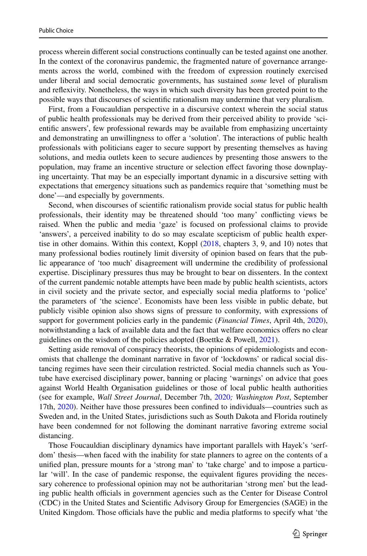process wherein different social constructions continually can be tested against one another. In the context of the coronavirus pandemic, the fragmented nature of governance arrangements across the world, combined with the freedom of expression routinely exercised under liberal and social democratic governments, has sustained *some* level of pluralism and reflexivity. Nonetheless, the ways in which such diversity has been greeted point to the possible ways that discourses of scientific rationalism may undermine that very pluralism.

First, from a Foucauldian perspective in a discursive context wherein the social status of public health professionals may be derived from their perceived ability to provide 'scientific answers', few professional rewards may be available from emphasizing uncertainty and demonstrating an unwillingness to offer a 'solution'. The interactions of public health professionals with politicians eager to secure support by presenting themselves as having solutions, and media outlets keen to secure audiences by presenting those answers to the population, may frame an incentive structure or selection effect favoring those downplaying uncertainty. That may be an especially important dynamic in a discursive setting with expectations that emergency situations such as pandemics require that 'something must be done'—and especially by governments.

Second, when discourses of scientific rationalism provide social status for public health professionals, their identity may be threatened should 'too many' conflicting views be raised. When the public and media 'gaze' is focused on professional claims to provide 'answers', a perceived inability to do so may escalate scepticism of public health expertise in other domains. Within this context, Koppl [\(2018](#page-17-23), chapters 3, 9, and 10) notes that many professional bodies routinely limit diversity of opinion based on fears that the public appearance of 'too much' disagreement will undermine the credibility of professional expertise. Disciplinary pressures thus may be brought to bear on dissenters. In the context of the current pandemic notable attempts have been made by public health scientists, actors in civil society and the private sector, and especially social media platforms to 'police' the parameters of 'the science'. Economists have been less visible in public debate, but publicly visible opinion also shows signs of pressure to conformity, with expressions of support for government policies early in the pandemic (*Financial Times*, April 4th, [2020](#page-18-7)), notwithstanding a lack of available data and the fact that welfare economics offers no clear guidelines on the wisdom of the policies adopted (Boettke & Powell, [2021\)](#page-16-5).

Setting aside removal of conspiracy theorists, the opinions of epidemiologists and economists that challenge the dominant narrative in favor of 'lockdowns' or radical social distancing regimes have seen their circulation restricted. Social media channels such as Youtube have exercised disciplinary power, banning or placing 'warnings' on advice that goes against World Health Organisation guidelines or those of local public health authorities (see for example, *Wall Street Journal*, December 7th, [2020](#page-18-8)*; Washington Post*, September 17th, [2020\)](#page-18-9). Neither have those pressures been confined to individuals—countries such as Sweden and, in the United States, jurisdictions such as South Dakota and Florida routinely have been condemned for not following the dominant narrative favoring extreme social distancing.

Those Foucauldian disciplinary dynamics have important parallels with Hayek's 'serfdom' thesis—when faced with the inability for state planners to agree on the contents of a unified plan, pressure mounts for a 'strong man' to 'take charge' and to impose a particular 'will'. In the case of pandemic response, the equivalent figures providing the necessary coherence to professional opinion may not be authoritarian 'strong men' but the leading public health officials in government agencies such as the Center for Disease Control (CDC) in the United States and Scientific Advisory Group for Emergencies (SAGE) in the United Kingdom. Those officials have the public and media platforms to specify what 'the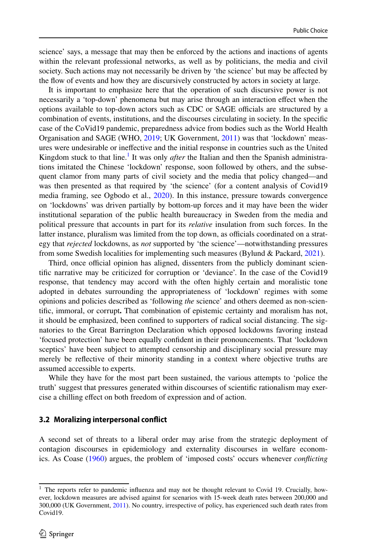science' says, a message that may then be enforced by the actions and inactions of agents within the relevant professional networks, as well as by politicians, the media and civil society. Such actions may not necessarily be driven by 'the science' but may be affected by the flow of events and how they are discursively constructed by actors in society at large.

It is important to emphasize here that the operation of such discursive power is not necessarily a 'top-down' phenomena but may arise through an interaction effect when the options available to top-down actors such as CDC or SAGE officials are structured by a combination of events, institutions, and the discourses circulating in society. In the specific case of the CoVid19 pandemic, preparedness advice from bodies such as the World Health Organisation and SAGE (WHO, [2019](#page-18-10); UK Government, [2011](#page-18-11)) was that 'lockdown' measures were undesirable or ineffective and the initial response in countries such as the United Kingdom stuck to that line.<sup>[1](#page-9-0)</sup> It was only *after* the Italian and then the Spanish administrations imitated the Chinese 'lockdown' response, soon followed by others, and the subsequent clamor from many parts of civil society and the media that policy changed—and was then presented as that required by 'the science' (for a content analysis of Covid19 media framing, see Ogbodo et al., [2020](#page-17-24)). In this instance, pressure towards convergence on 'lockdowns' was driven partially by bottom-up forces and it may have been the wider institutional separation of the public health bureaucracy in Sweden from the media and political pressure that accounts in part for its *relative* insulation from such forces. In the latter instance, pluralism was limited from the top down, as officials coordinated on a strategy that *rejected* lockdowns, as *not* supported by 'the science'—notwithstanding pressures from some Swedish localities for implementing such measures (Bylund & Packard, [2021\)](#page-16-2).

Third, once official opinion has aligned, dissenters from the publicly dominant scientific narrative may be criticized for corruption or 'deviance'. In the case of the Covid19 response, that tendency may accord with the often highly certain and moralistic tone adopted in debates surrounding the appropriateness of 'lockdown' regimes with some opinions and policies described as 'following *the* science' and others deemed as non-scientific, immoral, or corrupt**.** That combination of epistemic certainty and moralism has not, it should be emphasized, been confined to supporters of radical social distancing. The signatories to the Great Barrington Declaration which opposed lockdowns favoring instead 'focused protection' have been equally confident in their pronouncements. That 'lockdown sceptics' have been subject to attempted censorship and disciplinary social pressure may merely be reflective of their minority standing in a context where objective truths are assumed accessible to experts.

While they have for the most part been sustained, the various attempts to 'police the truth' suggest that pressures generated within discourses of scientific rationalism may exercise a chilling effect on both freedom of expression and of action.

#### **3.2 Moralizing interpersonal conflict**

A second set of threats to a liberal order may arise from the strategic deployment of contagion discourses in epidemiology and externality discourses in welfare economics. As Coase ([1960\)](#page-17-25) argues, the problem of 'imposed costs' occurs whenever *conflicting*

<span id="page-9-0"></span><sup>&</sup>lt;sup>1</sup> The reports refer to pandemic influenza and may not be thought relevant to Covid 19. Crucially, however, lockdown measures are advised against for scenarios with 15-week death rates between 200,000 and 300,000 (UK Government, [2011](#page-18-11)). No country, irrespective of policy, has experienced such death rates from Covid19.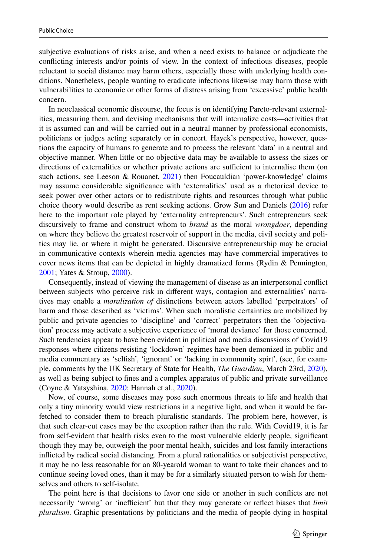subjective evaluations of risks arise, and when a need exists to balance or adjudicate the conflicting interests and/or points of view. In the context of infectious diseases, people reluctant to social distance may harm others, especially those with underlying health conditions. Nonetheless, people wanting to eradicate infections likewise may harm those with vulnerabilities to economic or other forms of distress arising from 'excessive' public health concern.

In neoclassical economic discourse, the focus is on identifying Pareto-relevant externalities, measuring them, and devising mechanisms that will internalize costs—activities that it is assumed can and will be carried out in a neutral manner by professional economists, politicians or judges acting separately or in concert. Hayek's perspective, however, questions the capacity of humans to generate and to process the relevant 'data' in a neutral and objective manner. When little or no objective data may be available to assess the sizes or directions of externalities or whether private actions are sufficient to internalise them (on such actions, see Leeson & Rouanet, [2021\)](#page-17-26) then Foucauldian 'power-knowledge' claims may assume considerable significance with 'externalities' used as a rhetorical device to seek power over other actors or to redistribute rights and resources through what public choice theory would describe as rent seeking actions. Grow Sun and Daniels ([2016\)](#page-17-27) refer here to the important role played by 'externality entrepreneurs'. Such entrepreneurs seek discursively to frame and construct whom to *brand* as the moral *wrongdoer*, depending on where they believe the greatest reservoir of support in the media, civil society and politics may lie, or where it might be generated. Discursive entrepreneurship may be crucial in communicative contexts wherein media agencies may have commercial imperatives to cover news items that can be depicted in highly dramatized forms (Rydin & Pennington, [2001;](#page-18-12) Yates & Stroup, [2000\)](#page-18-13).

Consequently, instead of viewing the management of disease as an interpersonal conflict between subjects who perceive risk in different ways, contagion and externalities' narratives may enable a *moralization of* distinctions between actors labelled 'perpetrators' of harm and those described as 'victims'. When such moralistic certainties are mobilized by public and private agencies to 'discipline' and 'correct' perpetrators then the 'objectivation' process may activate a subjective experience of 'moral deviance' for those concerned. Such tendencies appear to have been evident in political and media discussions of Covid19 responses where citizens resisting 'lockdown' regimes have been demonized in public and media commentary as 'selfish', 'ignorant' or 'lacking in community spirt', (see, for example, comments by the UK Secretary of State for Health, *The Guardian*, March 23rd, [2020](#page-17-28)), as well as being subject to fines and a complex apparatus of public and private surveillance (Coyne & Yatsyshina, [2020;](#page-17-29) Hannah et al., [2020\)](#page-17-3).

Now, of course, some diseases may pose such enormous threats to life and health that only a tiny minority would view restrictions in a negative light, and when it would be farfetched to consider them to breach pluralistic standards. The problem here, however, is that such clear-cut cases may be the exception rather than the rule. With Covid19, it is far from self-evident that health risks even to the most vulnerable elderly people, significant though they may be, outweigh the poor mental health, suicides and lost family interactions inflicted by radical social distancing. From a plural rationalities or subjectivist perspective, it may be no less reasonable for an 80-yearold woman to want to take their chances and to continue seeing loved ones, than it may be for a similarly situated person to wish for themselves and others to self-isolate.

The point here is that decisions to favor one side or another in such conflicts are not necessarily 'wrong' or 'inefficient' but that they may generate or reflect biases that *limit pluralism*. Graphic presentations by politicians and the media of people dying in hospital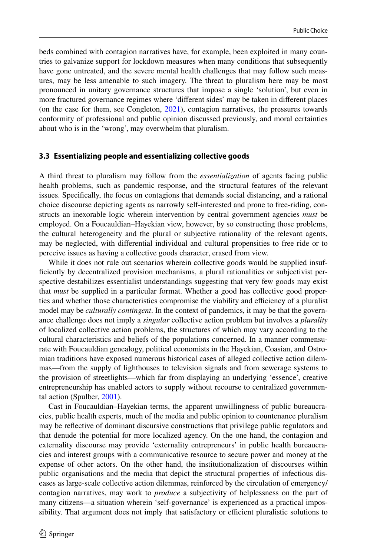beds combined with contagion narratives have, for example, been exploited in many countries to galvanize support for lockdown measures when many conditions that subsequently have gone untreated, and the severe mental health challenges that may follow such measures, may be less amenable to such imagery. The threat to pluralism here may be most pronounced in unitary governance structures that impose a single 'solution', but even in more fractured governance regimes where 'different sides' may be taken in different places (on the case for them, see Congleton, [2021](#page-17-30)), contagion narratives, the pressures towards conformity of professional and public opinion discussed previously, and moral certainties about who is in the 'wrong', may overwhelm that pluralism.

#### **3.3 Essentializing people and essentializing collective goods**

A third threat to pluralism may follow from the *essentialization* of agents facing public health problems, such as pandemic response, and the structural features of the relevant issues. Specifically, the focus on contagions that demands social distancing, and a rational choice discourse depicting agents as narrowly self-interested and prone to free-riding, constructs an inexorable logic wherein intervention by central government agencies *must* be employed. On a Foucauldian–Hayekian view, however, by so constructing those problems, the cultural heterogeneity and the plural or subjective rationality of the relevant agents, may be neglected, with differential individual and cultural propensities to free ride or to perceive issues as having a collective goods character, erased from view.

While it does not rule out scenarios wherein collective goods would be supplied insufficiently by decentralized provision mechanisms, a plural rationalities or subjectivist perspective destabilizes essentialist understandings suggesting that very few goods may exist that *must* be supplied in a particular format. Whether a good has collective good properties and whether those characteristics compromise the viability and efficiency of a pluralist model may be *culturally contingent*. In the context of pandemics, it may be that the governance challenge does not imply a *singular* collective action problem but involves a *plurality* of localized collective action problems, the structures of which may vary according to the cultural characteristics and beliefs of the populations concerned. In a manner commensurate with Foucauldian genealogy, political economists in the Hayekian, Coasian, and Ostromian traditions have exposed numerous historical cases of alleged collective action dilemmas—from the supply of lighthouses to television signals and from sewerage systems to the provision of streetlights—which far from displaying an underlying 'essence', creative entrepreneurship has enabled actors to supply without recourse to centralized governmental action (Spulber, [2001\)](#page-18-14).

Cast in Foucauldian–Hayekian terms, the apparent unwillingness of public bureaucracies, public health experts, much of the media and public opinion to countenance pluralism may be reflective of dominant discursive constructions that privilege public regulators and that denude the potential for more localized agency. On the one hand, the contagion and externality discourse may provide 'externality entrepreneurs' in public health bureaucracies and interest groups with a communicative resource to secure power and money at the expense of other actors. On the other hand, the institutionalization of discourses within public organisations and the media that depict the structural properties of infectious diseases as large-scale collective action dilemmas, reinforced by the circulation of emergency/ contagion narratives, may work to *produce* a subjectivity of helplessness on the part of many citizens—a situation wherein 'self-governance' is experienced as a practical impossibility. That argument does not imply that satisfactory or efficient pluralistic solutions to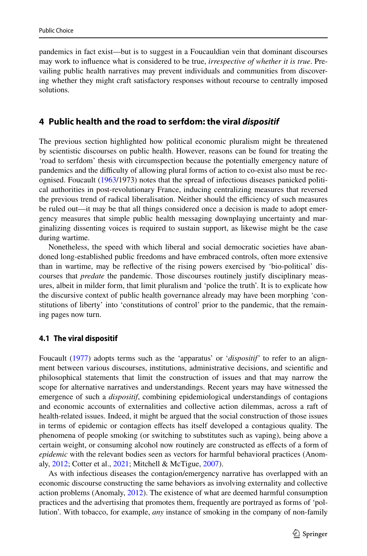pandemics in fact exist—but is to suggest in a Foucauldian vein that dominant discourses may work to influence what is considered to be true, *irrespective of whether it is true*. Prevailing public health narratives may prevent individuals and communities from discovering whether they might craft satisfactory responses without recourse to centrally imposed solutions.

## **4 Public health and the road to serfdom: the viral dispositif**

The previous section highlighted how political economic pluralism might be threatened by scientistic discourses on public health. However, reasons can be found for treating the 'road to serfdom' thesis with circumspection because the potentially emergency nature of pandemics and the difficulty of allowing plural forms of action to co-exist also must be recognised. Foucault [\(1963](#page-17-31)/1973) notes that the spread of infectious diseases panicked political authorities in post-revolutionary France, inducing centralizing measures that reversed the previous trend of radical liberalisation. Neither should the efficiency of such measures be ruled out—it may be that all things considered once a decision is made to adopt emergency measures that simple public health messaging downplaying uncertainty and marginalizing dissenting voices is required to sustain support, as likewise might be the case during wartime.

Nonetheless, the speed with which liberal and social democratic societies have abandoned long-established public freedoms and have embraced controls, often more extensive than in wartime, may be reflective of the rising powers exercised by 'bio-political' discourses that *predate* the pandemic. Those discourses routinely justify disciplinary measures, albeit in milder form, that limit pluralism and 'police the truth'. It is to explicate how the discursive context of public health governance already may have been morphing 'constitutions of liberty' into 'constitutions of control' prior to the pandemic, that the remaining pages now turn.

#### **4.1 The viral dispositif**

Foucault ([1977\)](#page-17-12) adopts terms such as the 'apparatus' or '*dispositif'* to refer to an alignment between various discourses, institutions, administrative decisions, and scientific and philosophical statements that limit the construction of issues and that may narrow the scope for alternative narratives and understandings. Recent years may have witnessed the emergence of such a *dispositif*, combining epidemiological understandings of contagions and economic accounts of externalities and collective action dilemmas, across a raft of health-related issues. Indeed, it might be argued that the social construction of those issues in terms of epidemic or contagion effects has itself developed a contagious quality. The phenomena of people smoking (or switching to substitutes such as vaping), being above a certain weight, or consuming alcohol now routinely are constructed as effects of a form of *epidemic* with the relevant bodies seen as vectors for harmful behavioral practices (Anomaly, [2012](#page-16-6); Cotter et al., [2021;](#page-17-32) Mitchell & McTigue, [2007](#page-17-33)).

As with infectious diseases the contagion/emergency narrative has overlapped with an economic discourse constructing the same behaviors as involving externality and collective action problems (Anomaly, [2012\)](#page-16-6). The existence of what are deemed harmful consumption practices and the advertising that promotes them, frequently are portrayed as forms of 'pollution'. With tobacco, for example, *any* instance of smoking in the company of non-family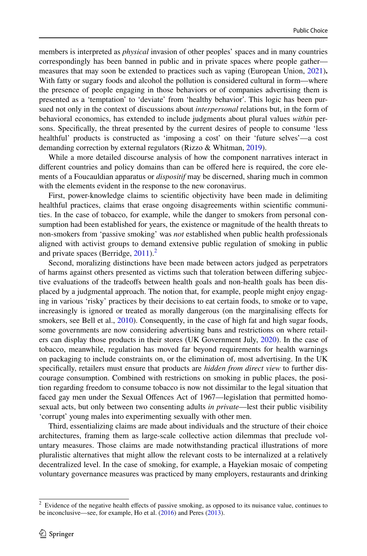members is interpreted as *physical* invasion of other peoples' spaces and in many countries correspondingly has been banned in public and in private spaces where people gather measures that may soon be extended to practices such as vaping (European Union, [2021](#page-17-34))**.** With fatty or sugary foods and alcohol the pollution is considered cultural in form—where the presence of people engaging in those behaviors or of companies advertising them is presented as a 'temptation' to 'deviate' from 'healthy behavior'. This logic has been pursued not only in the context of discussions about *interpersonal* relations but, in the form of behavioral economics, has extended to include judgments about plural values *within* persons. Specifically, the threat presented by the current desires of people to consume 'less healthful' products is constructed as 'imposing a cost' on their 'future selves'—a cost demanding correction by external regulators (Rizzo & Whitman, [2019](#page-18-15)).

While a more detailed discourse analysis of how the component narratives interact in different countries and policy domains than can be offered here is required, the core elements of a Foucauldian apparatus or *dispositif* may be discerned, sharing much in common with the elements evident in the response to the new coronavirus.

First, power-knowledge claims to scientific objectivity have been made in delimiting healthful practices, claims that erase ongoing disagreements within scientific communities. In the case of tobacco, for example, while the danger to smokers from personal consumption had been established for years, the existence or magnitude of the health threats to non-smokers from 'passive smoking' was *not* established when public health professionals aligned with activist groups to demand extensive public regulation of smoking in public and private spaces (Berridge,  $2011$  $2011$ ).<sup>2</sup>

Second, moralizing distinctions have been made between actors judged as perpetrators of harms against others presented as victims such that toleration between differing subjective evaluations of the tradeoffs between health goals and non-health goals has been displaced by a judgmental approach. The notion that, for example, people might enjoy engaging in various 'risky' practices by their decisions to eat certain foods, to smoke or to vape, increasingly is ignored or treated as morally dangerous (on the marginalising effects for smokers, see Bell et al., [2010](#page-16-8)). Consequently, in the case of high fat and high sugar foods, some governments are now considering advertising bans and restrictions on where retailers can display those products in their stores (UK Government July, [2020](#page-18-16)). In the case of tobacco, meanwhile, regulation has moved far beyond requirements for health warnings on packaging to include constraints on, or the elimination of, most advertising. In the UK specifically, retailers must ensure that products are *hidden from direct view* to further discourage consumption. Combined with restrictions on smoking in public places, the position regarding freedom to consume tobacco is now not dissimilar to the legal situation that faced gay men under the Sexual Offences Act of 1967—legislation that permitted homosexual acts, but only between two consenting adults *in private*—lest their public visibility 'corrupt' young males into experimenting sexually with other men.

Third, essentializing claims are made about individuals and the structure of their choice architectures, framing them as large-scale collective action dilemmas that preclude voluntary measures. Those claims are made notwithstanding practical illustrations of more pluralistic alternatives that might allow the relevant costs to be internalized at a relatively decentralized level. In the case of smoking, for example, a Hayekian mosaic of competing voluntary governance measures was practiced by many employers, restaurants and drinking

<span id="page-13-0"></span><sup>&</sup>lt;sup>2</sup> Evidence of the negative health effects of passive smoking, as opposed to its nuisance value, continues to be inconclusive—see, for example, Ho et al. ([2016\)](#page-17-35) and Peres ([2013\)](#page-17-36).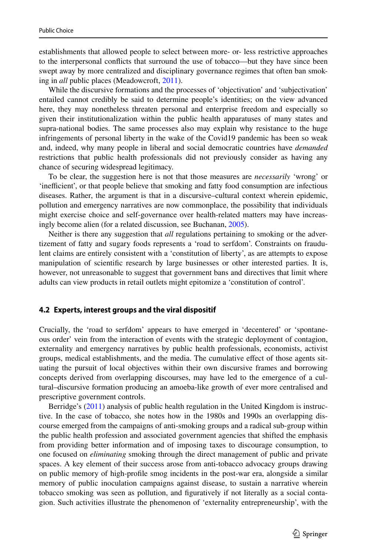establishments that allowed people to select between more- or- less restrictive approaches to the interpersonal conflicts that surround the use of tobacco—but they have since been swept away by more centralized and disciplinary governance regimes that often ban smoking in *all* public places (Meadowcroft, [2011](#page-17-37)).

While the discursive formations and the processes of 'objectivation' and 'subjectivation' entailed cannot credibly be said to determine people's identities; on the view advanced here, they may nonetheless threaten personal and enterprise freedom and especially so given their institutionalization within the public health apparatuses of many states and supra-national bodies. The same processes also may explain why resistance to the huge infringements of personal liberty in the wake of the Covid19 pandemic has been so weak and, indeed, why many people in liberal and social democratic countries have *demanded* restrictions that public health professionals did not previously consider as having any chance of securing widespread legitimacy.

To be clear, the suggestion here is not that those measures are *necessarily* 'wrong' or 'inefficient', or that people believe that smoking and fatty food consumption are infectious diseases. Rather, the argument is that in a discursive–cultural context wherein epidemic, pollution and emergency narratives are now commonplace, the possibility that individuals might exercise choice and self-governance over health-related matters may have increasingly become alien (for a related discussion, see Buchanan, [2005\)](#page-16-9).

Neither is there any suggestion that *all* regulations pertaining to smoking or the advertizement of fatty and sugary foods represents a 'road to serfdom'. Constraints on fraudulent claims are entirely consistent with a 'constitution of liberty', as are attempts to expose manipulation of scientific research by large businesses or other interested parties. It is, however, not unreasonable to suggest that government bans and directives that limit where adults can view products in retail outlets might epitomize a 'constitution of control'.

#### **4.2 Experts, interest groups and the viral dispositif**

Crucially, the 'road to serfdom' appears to have emerged in 'decentered' or 'spontaneous order' vein from the interaction of events with the strategic deployment of contagion, externality and emergency narratives by public health professionals, economists, activist groups, medical establishments, and the media. The cumulative effect of those agents situating the pursuit of local objectives within their own discursive frames and borrowing concepts derived from overlapping discourses, may have led to the emergence of a cultural–discursive formation producing an amoeba-like growth of ever more centralised and prescriptive government controls.

Berridge's [\(2011](#page-16-7)) analysis of public health regulation in the United Kingdom is instructive. In the case of tobacco, she notes how in the 1980s and 1990s an overlapping discourse emerged from the campaigns of anti-smoking groups and a radical sub-group within the public health profession and associated government agencies that shifted the emphasis from providing better information and of imposing taxes to discourage consumption, to one focused on *eliminating* smoking through the direct management of public and private spaces. A key element of their success arose from anti-tobacco advocacy groups drawing on public memory of high-profile smog incidents in the post-war era, alongside a similar memory of public inoculation campaigns against disease, to sustain a narrative wherein tobacco smoking was seen as pollution, and figuratively if not literally as a social contagion. Such activities illustrate the phenomenon of 'externality entrepreneurship', with the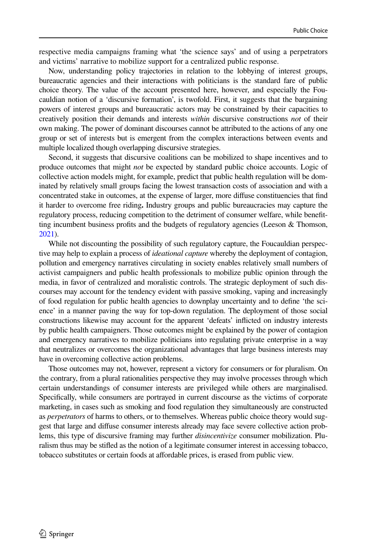respective media campaigns framing what 'the science says' and of using a perpetrators and victims' narrative to mobilize support for a centralized public response.

Now, understanding policy trajectories in relation to the lobbying of interest groups, bureaucratic agencies and their interactions with politicians is the standard fare of public choice theory. The value of the account presented here, however, and especially the Foucauldian notion of a 'discursive formation', is twofold. First, it suggests that the bargaining powers of interest groups and bureaucratic actors may be constrained by their capacities to creatively position their demands and interests *within* discursive constructions *not* of their own making. The power of dominant discourses cannot be attributed to the actions of any one group or set of interests but is emergent from the complex interactions between events and multiple localized though overlapping discursive strategies.

Second, it suggests that discursive coalitions can be mobilized to shape incentives and to produce outcomes that might *not* be expected by standard public choice accounts. Logic of collective action models might, for example, predict that public health regulation will be dominated by relatively small groups facing the lowest transaction costs of association and with a concentrated stake in outcomes, at the expense of larger, more diffuse constituencies that find it harder to overcome free riding**.** Industry groups and public bureaucracies may capture the regulatory process, reducing competition to the detriment of consumer welfare, while benefitting incumbent business profits and the budgets of regulatory agencies (Leeson & Thomson, [2021](#page-17-4)).

While not discounting the possibility of such regulatory capture, the Foucauldian perspective may help to explain a process of *ideational capture* whereby the deployment of contagion, pollution and emergency narratives circulating in society enables relatively small numbers of activist campaigners and public health professionals to mobilize public opinion through the media, in favor of centralized and moralistic controls. The strategic deployment of such discourses may account for the tendency evident with passive smoking, vaping and increasingly of food regulation for public health agencies to downplay uncertainty and to define 'the science' in a manner paving the way for top-down regulation. The deployment of those social constructions likewise may account for the apparent 'defeats' inflicted on industry interests by public health campaigners. Those outcomes might be explained by the power of contagion and emergency narratives to mobilize politicians into regulating private enterprise in a way that neutralizes or overcomes the organizational advantages that large business interests may have in overcoming collective action problems.

Those outcomes may not, however, represent a victory for consumers or for pluralism. On the contrary, from a plural rationalities perspective they may involve processes through which certain understandings of consumer interests are privileged while others are marginalised. Specifically, while consumers are portrayed in current discourse as the victims of corporate marketing, in cases such as smoking and food regulation they simultaneously are constructed as *perpetrators* of harms to others, or to themselves. Whereas public choice theory would suggest that large and diffuse consumer interests already may face severe collective action problems, this type of discursive framing may further *disincentivize* consumer mobilization. Pluralism thus may be stifled as the notion of a legitimate consumer interest in accessing tobacco, tobacco substitutes or certain foods at affordable prices, is erased from public view.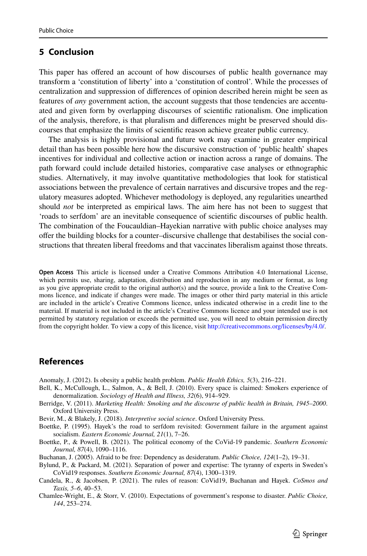## **5 Conclusion**

This paper has offered an account of how discourses of public health governance may transform a 'constitution of liberty' into a 'constitution of control'. While the processes of centralization and suppression of differences of opinion described herein might be seen as features of *any* government action, the account suggests that those tendencies are accentuated and given form by overlapping discourses of scientific rationalism. One implication of the analysis, therefore, is that pluralism and differences might be preserved should discourses that emphasize the limits of scientific reason achieve greater public currency.

The analysis is highly provisional and future work may examine in greater empirical detail than has been possible here how the discursive construction of 'public health' shapes incentives for individual and collective action or inaction across a range of domains. The path forward could include detailed histories, comparative case analyses or ethnographic studies. Alternatively, it may involve quantitative methodologies that look for statistical associations between the prevalence of certain narratives and discursive tropes and the regulatory measures adopted. Whichever methodology is deployed, any regularities unearthed should *not* be interpreted as empirical laws. The aim here has not been to suggest that 'roads to serfdom' are an inevitable consequence of scientific discourses of public health. The combination of the Foucauldian–Hayekian narrative with public choice analyses may offer the building blocks for a counter–discursive challenge that destabilises the social constructions that threaten liberal freedoms and that vaccinates liberalism against those threats.

**Open Access** This article is licensed under a Creative Commons Attribution 4.0 International License, which permits use, sharing, adaptation, distribution and reproduction in any medium or format, as long as you give appropriate credit to the original author(s) and the source, provide a link to the Creative Commons licence, and indicate if changes were made. The images or other third party material in this article are included in the article's Creative Commons licence, unless indicated otherwise in a credit line to the material. If material is not included in the article's Creative Commons licence and your intended use is not permitted by statutory regulation or exceeds the permitted use, you will need to obtain permission directly from the copyright holder. To view a copy of this licence, visit http://creativecommons.org/licenses/by/4.0/.

## **References**

<span id="page-16-6"></span>Anomaly, J. (2012). Is obesity a public health problem. *Public Health Ethics, 5*(3), 216–221.

- <span id="page-16-8"></span>Bell, K., McCullough, L., Salmon, A., & Bell, J. (2010). Every space is claimed: Smokers experience of denormalization. *Sociology of Health and Illness, 32*(6), 914–929.
- <span id="page-16-7"></span>Berridge, V. (2011). *Marketing Health: Smoking and the discourse of public health in Britain, 1945–2000*. Oxford University Press.
- <span id="page-16-0"></span>Bevir, M., & Blakely, J. (2018). *Interpretive social science*. Oxford University Press.
- <span id="page-16-1"></span>Boettke, P. (1995). Hayek's the road to serfdom revisited: Government failure in the argument against socialism. *Eastern Economic Journal, 21*(1), 7–26.
- <span id="page-16-5"></span>Boettke, P., & Powell, B. (2021). The political economy of the CoVid-19 pandemic. *Southern Economic Journal, 87*(4), 1090–1116.
- <span id="page-16-9"></span>Buchanan, J. (2005). Afraid to be free: Dependency as desideratum. *Public Choice, 124*(1–2), 19–31.
- <span id="page-16-2"></span>Bylund, P., & Packard, M. (2021). Separation of power and expertise: The tyranny of experts in Sweden's CoVid19 responses. *Southern Economic Journal, 87*(4), 1300–1319.
- <span id="page-16-3"></span>Candela, R., & Jacobsen, P. (2021). The rules of reason: CoVid19, Buchanan and Hayek. *CoSmos and Taxis, 5–6*, 40–53.
- <span id="page-16-4"></span>Chamlee-Wright, E., & Storr, V. (2010). Expectations of government's response to disaster. *Public Choice, 144*, 253–274.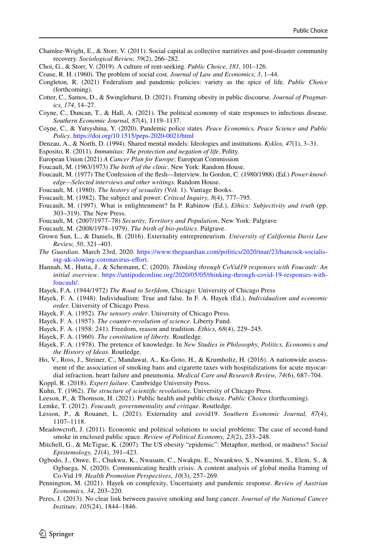- <span id="page-17-6"></span>Chamlee-Wright, E., & Storr, V. (2011). Social capital as collective narratives and post-disaster community recovery. *Sociological Review, 59*(2), 266–282.
- <span id="page-17-5"></span>Choi, G., & Storr, V. (2019). A culture of rent-seeking. *Public Choice, 181*, 101–126.
- <span id="page-17-25"></span>Coase, R. H. (1960). The problem of social cost. *Journal of Law and Economics, 3*, 1–44.
- <span id="page-17-30"></span>Congleton, R. (2021) Federalism and pandemic policies: variety as the spice of life. *Public Choice* (forthcoming).
- <span id="page-17-32"></span>Cotter, C., Samos, D., & Swinglehurst, D. (2021). Framing obesity in public discourse. *Journal of Pragmatics, 174*, 14–27.
- <span id="page-17-0"></span>Coyne, C., Duncan, T., & Hall, A. (2021). The political economy of state responses to infectious disease. *Southern Economic Journal, 87*(4), 1119–1137.
- <span id="page-17-29"></span>Coyne, C., & Yatsyshina, Y. (2020). Pandemic police states. *Peace Economics, Peace Science and Public Policy*. https://doi.org/10.1515/peps-2020-0021/html
- <span id="page-17-22"></span>Denzau, A., & North, D. (1994). Shared mental models: Ideologies and institutions. *Kyklos, 47*(1), 3–31.
- <span id="page-17-2"></span>Esposito, R. (2011). *Immunitas: The protection and negation of life*. Polity.
- <span id="page-17-34"></span>European Union (2021) *A Cancer Plan for Europe*: European Commission
- <span id="page-17-31"></span>Foucault, M. (1963/1973) *The birth of the clinic*. New York: Random House.
- <span id="page-17-12"></span>Foucault, M. (1977) The Confession of the flesh—Interview. In Gordon, C. (1980/1988) (Ed.) *Power-knowledge—Selected interviews and other writings*. Random House.
- <span id="page-17-7"></span>Foucault, M. (1980). *The history of sexuality* (Vol. 1). Vantage Books.
- <span id="page-17-8"></span>Foucault, M. (1982). The subject and power. *Critical Inquiry, 8*(4), 777–795.
- <span id="page-17-16"></span>Foucault, M. (1997). What is enlightenment? In P. Rabinow (Ed.), *Ethics: Subjectivity and truth* (pp. 303–319). The New Press.
- <span id="page-17-13"></span>Foucault, M. (2007/1977–78) *Security, Territory and Population*, New York: Palgrave
- <span id="page-17-14"></span>Foucault, M. (2008/1978–1979). *The birth of bio-politics*. Palgrave.
- <span id="page-17-27"></span>Grown Sun, L., & Daniels, B. (2016). Externality entrepreneurism. *University of California Davis Law Review, 50*, 321–403.
- <span id="page-17-28"></span>*The Guardian*. March 23rd, 2020. https://www.theguardian.com/politics/2020/mar/23/hancock-socialising-uk-slowing-coronavirus-effort.
- <span id="page-17-3"></span>Hannah, M., Hutta, J., & Schemann, C. (2020). *Thinking through CoVid19 responses with Foucault: An initial overview.* https://antipodeonline.org/2020/05/05/thinking-through-covid-19-responses-withfoucault/.
- <span id="page-17-20"></span>Hayek, F.A. (1944/1972) *The Road to Serfdom*, Chicago: University of Chicago Press
- <span id="page-17-9"></span>Hayek, F. A. (1948). Individualism: True and false. In F. A. Hayek (Ed.), *Individualism and economic order.* University of Chicago Press.
- <span id="page-17-10"></span>Hayek, F. A. (1952). *The sensory order*. University of Chicago Press.
- <span id="page-17-18"></span>Hayek, F. A. (1957). *The counter-revolution of science*. Liberty Fund.
- <span id="page-17-11"></span>Hayek, F. A. (1958: 241). Freedom, reason and tradition. *Ethics, 68*(4), 229–245.
- <span id="page-17-21"></span>Hayek, F. A. (1960). *The constitution of liberty*. Routledge.
- <span id="page-17-19"></span>Hayek, F. A. (1978). The pretence of knowledge. In *New Studies in Philosophy, Politics, Economics and the History of Ideas*. Routledge.
- <span id="page-17-35"></span>Ho, V., Ross, J., Steiner, C., Mandawat, A., Ku-Goto, H., & Krumholtz, H. (2016). A nationwide assessment of the association of smoking bans and cigarette taxes with hospitalizations for acute myocardial infraction, heart failure and pneumonia. *Medical Care and Research Review, 74*(6), 687–704.
- <span id="page-17-23"></span>Koppl, R. (2018). *Expert failure*. Cambridge University Press.
- <span id="page-17-15"></span>Kuhn, T. (1962). *The structure of scientific revolutions*. University of Chicago Press.
- <span id="page-17-4"></span>Leeson, P., & Thomson, H. (2021). Public health and public choice. *Public Choice* (forthcoming).
- <span id="page-17-17"></span>Lemke, T. (2012). *Foucault, governmentality and critique*. Routledge.
- <span id="page-17-26"></span>Lesson, P., & Rouanet, L. (2021). Externality and covid19. *Southern Economic Journal, 87*(4), 1107–1118.
- <span id="page-17-37"></span>Meadowcroft, J. (2011). Economic and political solutions to social problems: The case of second-hand smoke in enclosed public space. *Review of Political Economy, 23*(2), 233–248.
- <span id="page-17-33"></span>Mitchell, G., & McTigue, K. (2007). The US obesity "epidemic": Metaphor, method, or madness? *Social Epistemology, 21*(4), 391–423.
- <span id="page-17-24"></span>Ogbodo, J., Onwe, E., Chukwu, K., Nwasum, C., Nwakpu, E., Nwankwo, S., Nwamimi, S., Elem, S., & Ogbaega, N. (2020). Communicating health crisis: A content analysis of global media framing of Co-Vid 19. *Health Promotion Perspectives, 10*(3), 257–269.
- <span id="page-17-1"></span>Pennington, M. (2021). Hayek on complexity, Uncertainty and pandemic response. *Review of Austrian Economics, 34*, 203–220.
- <span id="page-17-36"></span>Peres, J. (2013). No clear link between passive smoking and lung cancer. *Journal of the National Cancer Institute, 105*(24), 1844–1846.